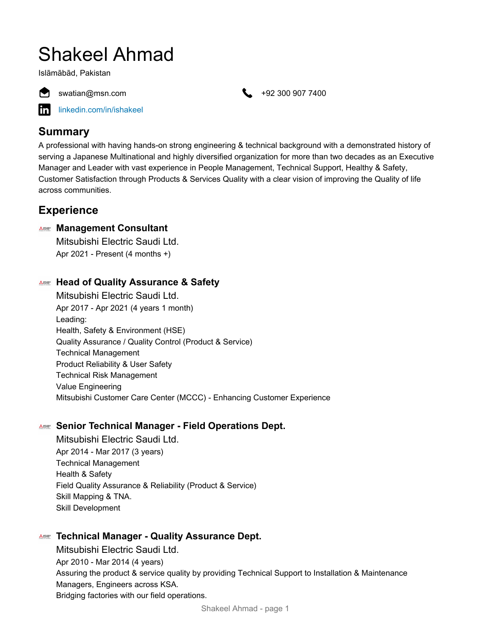# Shakeel Ahmad

Islāmābād, Pakistan



swatian@msn.com +92 300 907 7400

[linkedin.com/in/ishakeel](https://www.linkedin.com/in/ishakeel)

# **Summary**

A professional with having hands-on strong engineering & technical background with a demonstrated history of serving a Japanese Multinational and highly diversified organization for more than two decades as an Executive Manager and Leader with vast experience in People Management, Technical Support, Healthy & Safety, Customer Satisfaction through Products & Services Quality with a clear vision of improving the Quality of life across communities.

# **Experience**

## **Management Consultant**

Mitsubishi Electric Saudi Ltd. Apr 2021 - Present (4 months +)

## **Head of Quality Assurance & Safety**

Mitsubishi Electric Saudi Ltd. Apr 2017 - Apr 2021 (4 years 1 month) Leading: Health, Safety & Environment (HSE) Quality Assurance / Quality Control (Product & Service) Technical Management Product Reliability & User Safety Technical Risk Management Value Engineering Mitsubishi Customer Care Center (MCCC) - Enhancing Customer Experience

## **Senior Technical Manager - Field Operations Dept.**

Mitsubishi Electric Saudi Ltd. Apr 2014 - Mar 2017 (3 years) Technical Management Health & Safety Field Quality Assurance & Reliability (Product & Service) Skill Mapping & TNA. Skill Development

## **Technical Manager - Quality Assurance Dept.**

Mitsubishi Electric Saudi Ltd. Apr 2010 - Mar 2014 (4 years) Assuring the product & service quality by providing Technical Support to Installation & Maintenance Managers, Engineers across KSA. Bridging factories with our field operations.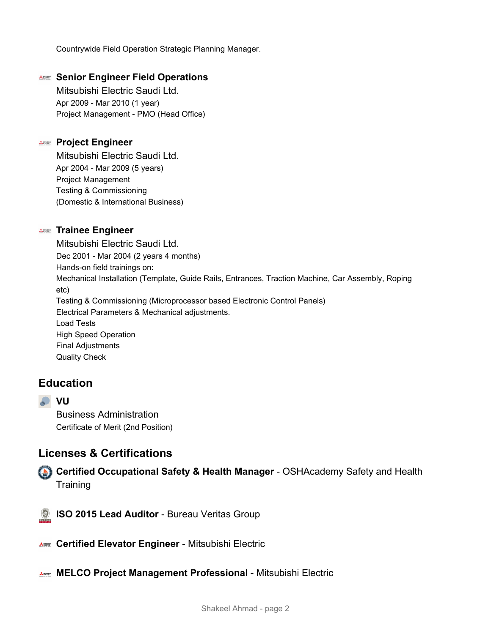Countrywide Field Operation Strategic Planning Manager.

#### **Senior Engineer Field Operations**

Mitsubishi Electric Saudi Ltd. Apr 2009 - Mar 2010 (1 year) Project Management - PMO (Head Office)

#### **ANNE Project Engineer**

Mitsubishi Electric Saudi Ltd. Apr 2004 - Mar 2009 (5 years) Project Management Testing & Commissioning (Domestic & International Business)

#### **Trainee Engineer**

Mitsubishi Electric Saudi Ltd. Dec 2001 - Mar 2004 (2 years 4 months) Hands-on field trainings on: Mechanical Installation (Template, Guide Rails, Entrances, Traction Machine, Car Assembly, Roping etc) Testing & Commissioning (Microprocessor based Electronic Control Panels) Electrical Parameters & Mechanical adjustments. Load Tests High Speed Operation Final Adjustments Quality Check

## **Education**

**VU**

Business Administration Certificate of Merit (2nd Position)

## **Licenses & Certifications**

**Certified Occupational Safety & Health Manager** - OSHAcademy Safety and Health **Training** 



**ISO 2015 Lead Auditor** - Bureau Veritas Group

- **Certified Elevator Engineer** Mitsubishi Electric
- **MELCO Project Management Professional** Mitsubishi Electric